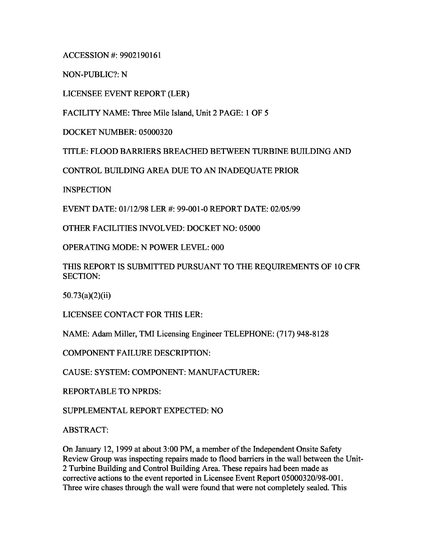ACCESSION #: 9902190161

NON-PUBLIC?: N

LICENSEE EVENT REPORT (LER)

FACILITY NAME: Three Mile Island, Unit 2 PAGE: 1 OF 5

DOCKET NUMBER: 05000320

TITLE: FLOOD BARRIERS BREACHED BETWEEN TURBINE BUILDING AND

CONTROL BUILDING AREA DUE TO AN INADEQUATE PRIOR

**INSPECTION** 

EVENT DATE: 01/12/98 LER #: 99-001-0 REPORT DATE: 02/05/99

OTHER FACILITIES INVOLVED: DOCKET NO: 05000

OPERATING MODE: N POWER LEVEL: 000

THIS REPORT IS SUBMITTED PURSUANT TO THE REQUIREMENTS OF 10 CFR SECTION:

50.73(a)(2)(ii)

LICENSEE CONTACT FOR THIS LER:

NAME: Adam Miller, TMI Licensing Engineer TELEPHONE: (717) 948-8128

COMPONENT FAILURE DESCRIPTION:

CAUSE: SYSTEM: COMPONENT: MANUFACTURER:

REPORTABLE TO NPRDS:

SUPPLEMENTAL REPORT EXPECTED: NO

ABSTRACT:

On January 12, 1999 at about 3:00 PM, a member of the Independent Onsite Safety Review Group was inspecting repairs made to flood barriers in the wall between the Unit-2 Turbine Building and Control Building Area. These repairs had been made as corrective actions to the event reported in Licensee Event Report 05000320/98-001. Three wire chases through the wall were found that were not completely sealed. This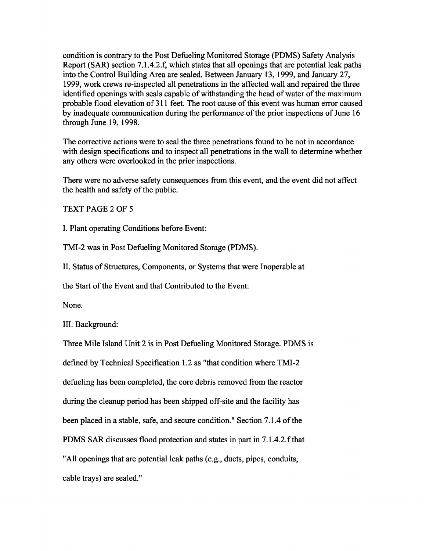condition is contrary to the Post Defueling Monitored Storage (PDMS) Safety Analysis Report (SAR) section 7.1.4.2.f, which states that all openings that are potential leak paths into the Control Building Area are sealed. Between January 13, 1999, and January 27, 1999, work crews re-inspected all penetrations in the affected wall and repaired the three identified openings with seals capable of withstanding the head of water of the maximum probable flood elevation of 311 feet. The root cause of this event was human error caused by inadequate communication during the performance of the prior inspections of June 16 through June 19, 1998.

The corrective actions were to seal the three penetrations found to be not in accordance with design specifications and to inspect all penetrations in the wall to determine whether any others were overlooked in the prior inspections.

There were no adverse safety consequences from this event, and the event did not affect the health and safety of the public.

TEXT PAGE 2 OF 5

I. Plant operating Conditions before Event:

TMI-2 was in Post Defueling Monitored Storage (PDMS).

II. Status of Structures, Components, or Systems that were Inoperable at

the Start of the Event and that Contributed to the Event:

None.

III. Background:

Three Mile Island Unit 2 is in Post Defueling Monitored Storage. PDMS is

defined by Technical Specification 1.2 as "that condition where TMI-2

defueling has been completed, the core debris removed from the reactor

during the cleanup period has been shipped off-site and the facility has

been placed in a stable, safe, and secure condition." Section 7.1.4 of the

PDMS SAR discusses flood protection and states in part in 7.1.4.2.f that

"All openings that are potential leak paths (e.g., ducts, pipes, conduits,

cable trays) are sealed."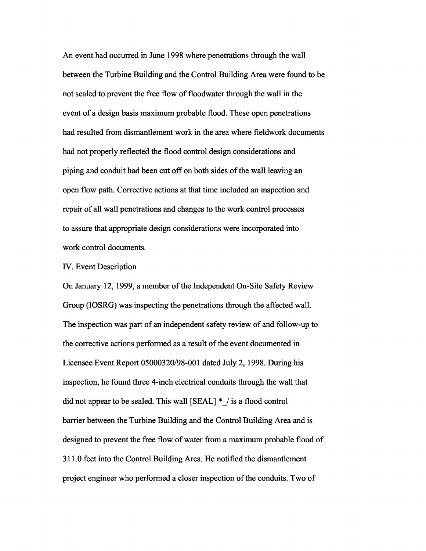An event had occurred in June 1998 where penetrations through the wall between the Turbine Building and the Control Building Area were found to be not sealed to prevent the free flow of floodwater through the wall in the event of a design basis maximum probable flood. These open penetrations had resulted from dismantlement work in the area where fieldwork documents had not properly reflected the flood control design considerations and piping and conduit had been cut off on both sides of the wall leaving an open flow path. Corrective actions at that time included an inspection and repair of all wall penetrations and changes to the work control processes to assure that appropriate design considerations were incorporated into work control documents.

### IV. Event Description

On January 12, 1999, a member of the Independent On-Site Safety Review Group (IOSRG) was inspecting the penetrations through the affected wall. The inspection was part of an independent safety review of and follow-up to the corrective actions performed as a result of the event documented in Licensee Event Report 05000320/98-001 dated July 2, 1998. During his inspection, he found three 4-inch electrical conduits through the wall that did not appear to be sealed. This wall [SEAL] \*\_/ is a flood control barrier between the Turbine Building and the Control Building Area and is designed to prevent the free flow of water from a maximum probable flood of 311.0 feet into the Control Building Area. He notified the dismantlement project engineer who performed a closer inspection of the conduits. Two of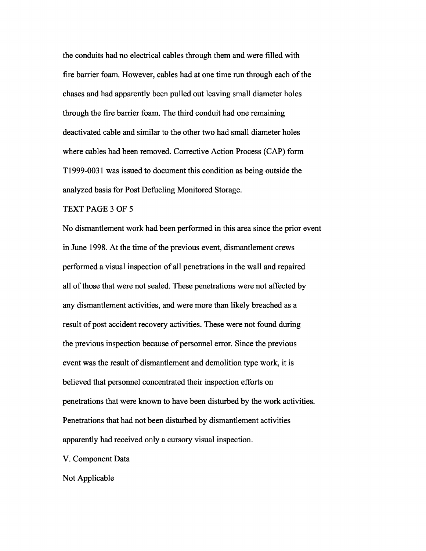the conduits had no electrical cables through them and were filled with fire barrier foam. However, cables had at one time run through each of the chases and had apparently been pulled out leaving small diameter holes through the fire barrier foam. The third conduit had one remaining deactivated cable and similar to the other two had small diameter holes where cables had been removed. Corrective Action Process (CAP) form T1999-0031 was issued to document this condition as being outside the analyzed basis for Post Defueling Monitored Storage.

# TEXT PAGE 3 OF 5

No dismantlement work had been performed in this area since the prior event in June 1998. At the time of the previous event, dismantlement crews performed a visual inspection of all penetrations in the wall and repaired all of those that were not sealed. These penetrations were not affected by any dismantlement activities, and were more than likely breached as a result of post accident recovery activities. These were not found during the previous inspection because of personnel error. Since the previous event was the result of dismantlement and demolition type work, it is believed that personnel concentrated their inspection efforts on penetrations that were known to have been disturbed by the work activities. Penetrations that had not been disturbed by dismantlement activities apparently had received only a cursory visual inspection.

V. Component Data

Not Applicable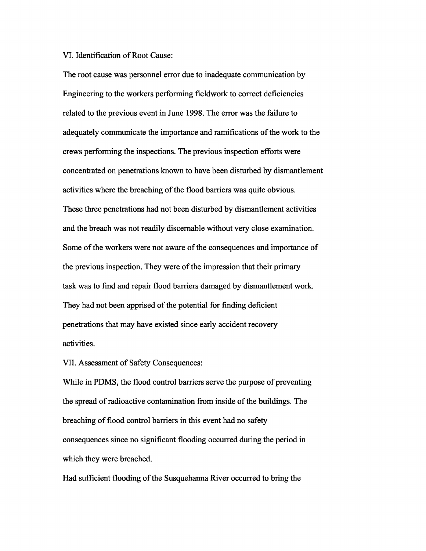### VI. Identification of Root Cause:

The root cause was personnel error due to inadequate communication by Engineering to the workers performing fieldwork to correct deficiencies related to the previous event in June 1998. The error was the failure to adequately communicate the importance and ramifications of the work to the crews performing the inspections. The previous inspection efforts were concentrated on penetrations known to have been disturbed by dismantlement activities where the breaching of the flood barriers was quite obvious. These three penetrations had not been disturbed by dismantlement activities and the breach was not readily discernable without very close examination. Some of the workers were not aware of the consequences and importance of the previous inspection. They were of the impression that their primary task was to find and repair flood barriers damaged by dismantlement work. They had not been apprised of the potential for finding deficient penetrations that may have existed since early accident recovery activities.

## VII. Assessment of Safety Consequences:

While in PDMS, the flood control barriers serve the purpose of preventing the spread of radioactive contamination from inside of the buildings. The breaching of flood control barriers in this event had no safety consequences since no significant flooding occurred during the period in which they were breached.

Had sufficient flooding of the Susquehanna River occurred to bring the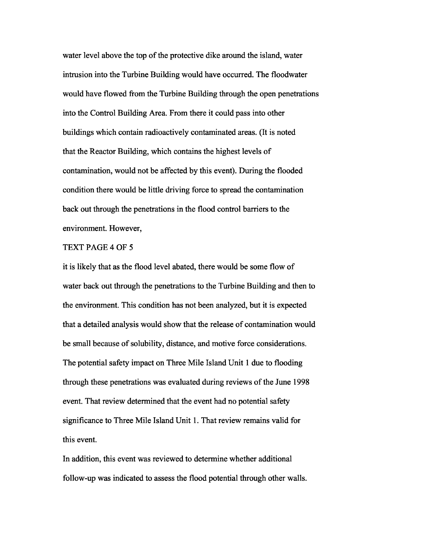water level above the top of the protective dike around the island, water intrusion into the Turbine Building would have occurred. The floodwater would have flowed from the Turbine Building through the open penetrations into the Control Building Area. From there it could pass into other buildings which contain radioactively contaminated areas. (It is noted that the Reactor Building, which contains the highest levels of contamination, would not be affected by this event). During the flooded condition there would be little driving force to spread the contamination back out through the penetrations in the flood control barriers to the environment. However,

### TEXT PAGE 4 OF 5

it is likely that as the flood level abated, there would be some flow of water back out through the penetrations to the Turbine Building and then to the environment. This condition has not been analyzed, but it is expected that a detailed analysis would show that the release of contamination would be small because of solubility, distance, and motive force considerations. The potential safety impact on Three Mile Island Unit 1 due to flooding through these penetrations was evaluated during reviews of the June 1998 event. That review determined that the event had no potential safety significance to Three Mile Island Unit 1. That review remains valid for this event.

In addition, this event was reviewed to determine whether additional follow-up was indicated to assess the flood potential through other walls.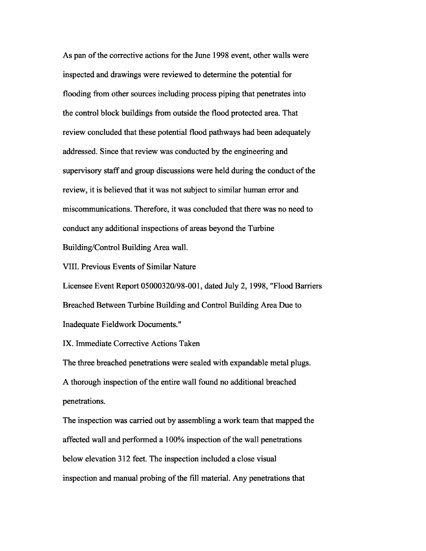As pan of the corrective actions for the June 1998 event, other walls were inspected and drawings were reviewed to determine the potential for flooding from other sources including process piping that penetrates into the control block buildings from outside the flood protected area. That review concluded that these potential flood pathways had been adequately addressed. Since that review was conducted by the engineering and supervisory staff and group discussions were held during the conduct of the review, it is believed that it was not subject to similar human error and miscommunications. Therefore, it was concluded that there was no need to conduct any additional inspections of areas beyond the Turbine Building/Control Building Area wall.

VIII. Previous Events of Similar Nature

Licensee Event Report 05000320/98-001, dated July 2, 1998, "Flood Barriers Breached Between Turbine Building and Control Building Area Due to Inadequate Fieldwork Documents."

IX. Immediate Corrective Actions Taken

The three breached penetrations were sealed with expandable metal plugs. A thorough inspection of the entire wall found no additional breached penetrations.

The inspection was carried out by assembling a work team that mapped the affected wall and performed a 100% inspection of the wall penetrations below elevation 312 feet. The inspection included a close visual inspection and manual probing of the fill material. Any penetrations that